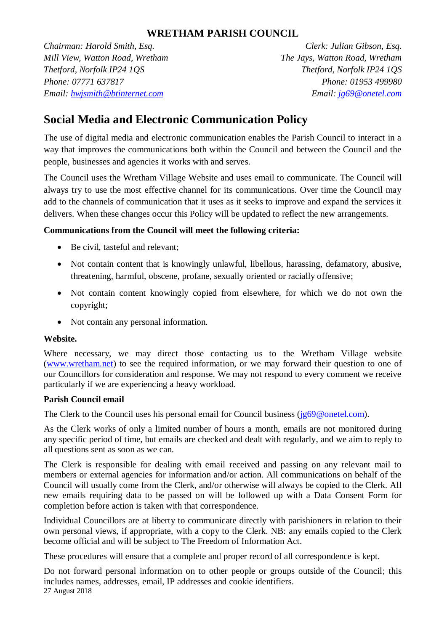## **WRETHAM PARISH COUNCIL**

*Chairman: Harold Smith, Esq. Clerk: Julian Gibson, Esq. Mill View, Watton Road, Wretham The Jays, Watton Road, Wretham Thetford, Norfolk IP24 1QS Thetford, Norfolk IP24 1QS Phone: 07771 637817 Phone: 01953 499980 Email: hwjsmith@btinternet.com Email: jg69@onetel.com*

# **Social Media and Electronic Communication Policy**

The use of digital media and electronic communication enables the Parish Council to interact in a way that improves the communications both within the Council and between the Council and the people, businesses and agencies it works with and serves.

The Council uses the Wretham Village Website and uses email to communicate. The Council will always try to use the most effective channel for its communications. Over time the Council may add to the channels of communication that it uses as it seeks to improve and expand the services it delivers. When these changes occur this Policy will be updated to reflect the new arrangements.

## **Communications from the Council will meet the following criteria:**

- Be civil, tasteful and relevant;
- Not contain content that is knowingly unlawful, libellous, harassing, defamatory, abusive, threatening, harmful, obscene, profane, sexually oriented or racially offensive;
- Not contain content knowingly copied from elsewhere, for which we do not own the copyright;
- Not contain any personal information.

#### **Website.**

Where necessary, we may direct those contacting us to the Wretham Village website [\(www.wretham.net\)](http://www.wretham.net/) to see the required information, or we may forward their question to one of our Councillors for consideration and response. We may not respond to every comment we receive particularly if we are experiencing a heavy workload.

## **Parish Council email**

The Clerk to the Council uses his personal email for Council business [\(jg69@onetel.com\)](mailto:jg69@onetel.com).

As the Clerk works of only a limited number of hours a month, emails are not monitored during any specific period of time, but emails are checked and dealt with regularly, and we aim to reply to all questions sent as soon as we can.

The Clerk is responsible for dealing with email received and passing on any relevant mail to members or external agencies for information and/or action. All communications on behalf of the Council will usually come from the Clerk, and/or otherwise will always be copied to the Clerk. All new emails requiring data to be passed on will be followed up with a Data Consent Form for completion before action is taken with that correspondence.

Individual Councillors are at liberty to communicate directly with parishioners in relation to their own personal views, if appropriate, with a copy to the Clerk. NB: any emails copied to the Clerk become official and will be subject to The Freedom of Information Act.

These procedures will ensure that a complete and proper record of all correspondence is kept.

27 August 2018 Do not forward personal information on to other people or groups outside of the Council; this includes names, addresses, email, IP addresses and cookie identifiers.